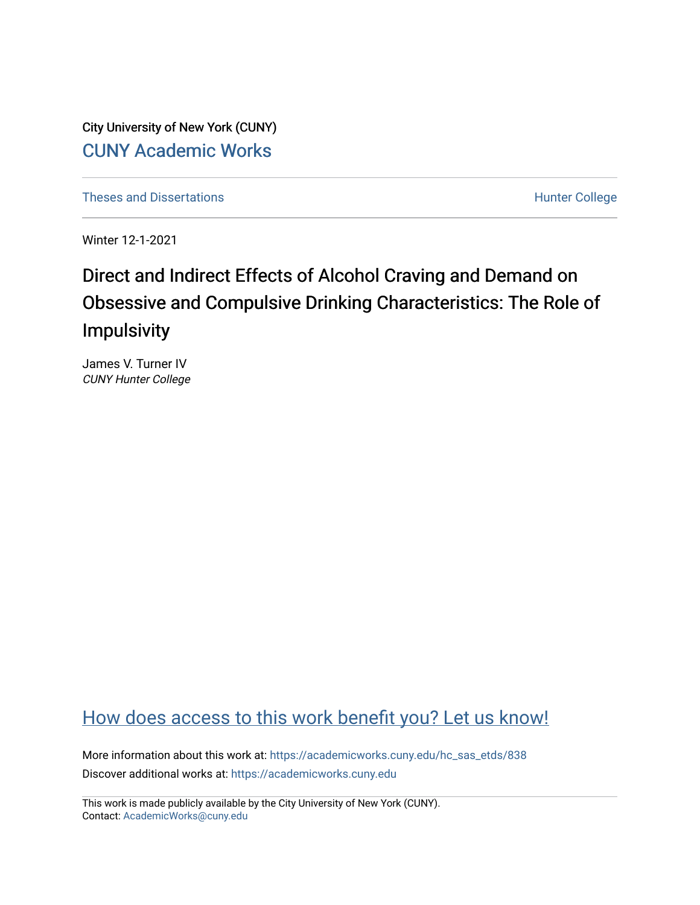City University of New York (CUNY) [CUNY Academic Works](https://academicworks.cuny.edu/) 

[Theses and Dissertations](https://academicworks.cuny.edu/hc_sas_etds) **Hunter College** 

Winter 12-1-2021

# Direct and Indirect Effects of Alcohol Craving and Demand on Obsessive and Compulsive Drinking Characteristics: The Role of Impulsivity

James V. Turner IV CUNY Hunter College

## [How does access to this work benefit you? Let us know!](http://ols.cuny.edu/academicworks/?ref=https://academicworks.cuny.edu/hc_sas_etds/838)

More information about this work at: [https://academicworks.cuny.edu/hc\\_sas\\_etds/838](https://academicworks.cuny.edu/hc_sas_etds/838)  Discover additional works at: [https://academicworks.cuny.edu](https://academicworks.cuny.edu/?)

This work is made publicly available by the City University of New York (CUNY). Contact: [AcademicWorks@cuny.edu](mailto:AcademicWorks@cuny.edu)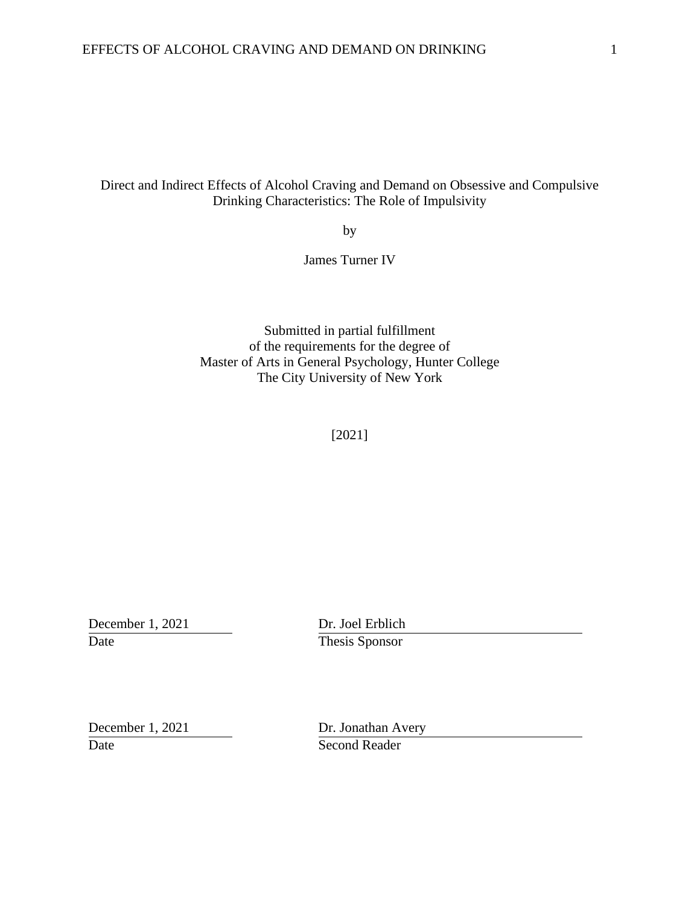## Direct and Indirect Effects of Alcohol Craving and Demand on Obsessive and Compulsive Drinking Characteristics: The Role of Impulsivity

by

James Turner IV

Submitted in partial fulfillment of the requirements for the degree of Master of Arts in General Psychology, Hunter College The City University of New York

[2021]

December 1, 2021 Dr. Joel Erblich Date Thesis Sponsor

Date Second Reader

December 1, 2021 Dr. Jonathan Avery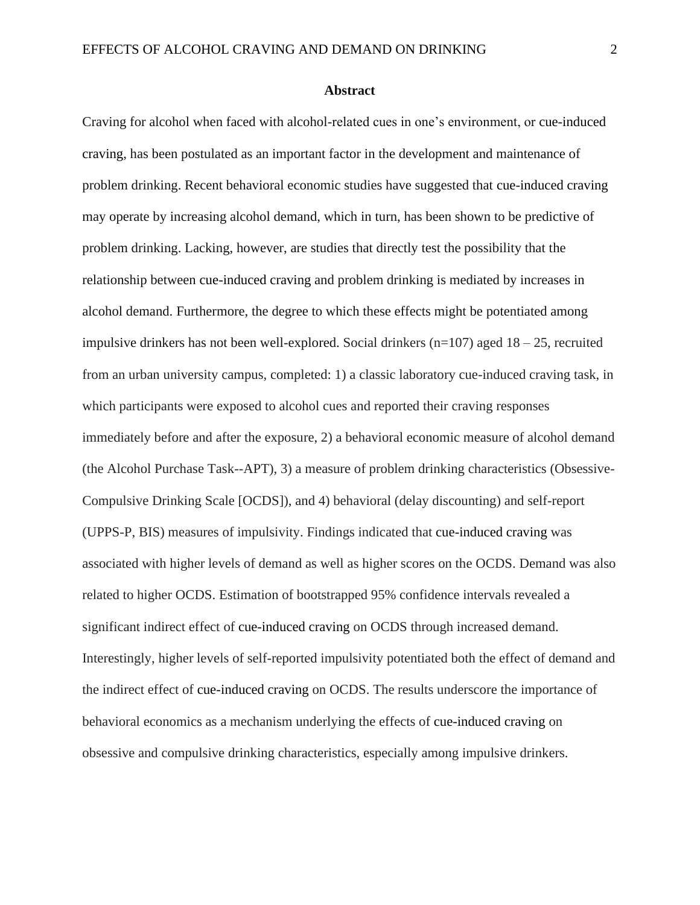#### **Abstract**

Craving for alcohol when faced with alcohol-related cues in one's environment, or cue-induced craving, has been postulated as an important factor in the development and maintenance of problem drinking. Recent behavioral economic studies have suggested that cue-induced craving may operate by increasing alcohol demand, which in turn, has been shown to be predictive of problem drinking. Lacking, however, are studies that directly test the possibility that the relationship between cue-induced craving and problem drinking is mediated by increases in alcohol demand. Furthermore, the degree to which these effects might be potentiated among impulsive drinkers has not been well-explored. Social drinkers  $(n=107)$  aged  $18 - 25$ , recruited from an urban university campus, completed: 1) a classic laboratory cue-induced craving task, in which participants were exposed to alcohol cues and reported their craving responses immediately before and after the exposure, 2) a behavioral economic measure of alcohol demand (the Alcohol Purchase Task--APT), 3) a measure of problem drinking characteristics (Obsessive-Compulsive Drinking Scale [OCDS]), and 4) behavioral (delay discounting) and self-report (UPPS-P, BIS) measures of impulsivity. Findings indicated that cue-induced craving was associated with higher levels of demand as well as higher scores on the OCDS. Demand was also related to higher OCDS. Estimation of bootstrapped 95% confidence intervals revealed a significant indirect effect of cue-induced craving on OCDS through increased demand. Interestingly, higher levels of self-reported impulsivity potentiated both the effect of demand and the indirect effect of cue-induced craving on OCDS. The results underscore the importance of behavioral economics as a mechanism underlying the effects of cue-induced craving on obsessive and compulsive drinking characteristics, especially among impulsive drinkers.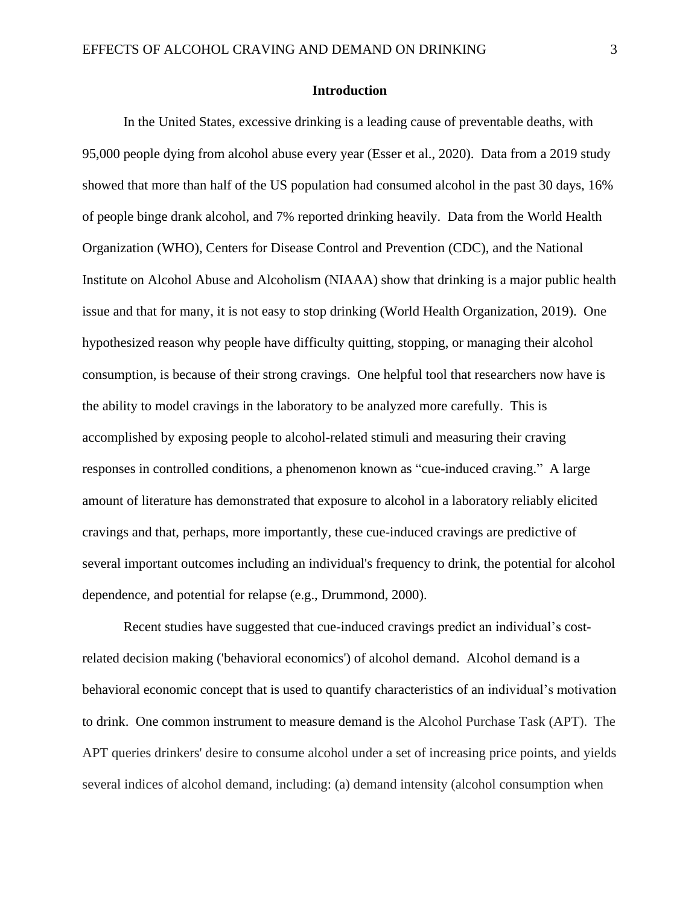#### **Introduction**

In the United States, excessive drinking is a leading cause of preventable deaths, with 95,000 people dying from alcohol abuse every year (Esser et al., 2020). Data from a 2019 study showed that more than half of the US population had consumed alcohol in the past 30 days, 16% of people binge drank alcohol, and 7% reported drinking heavily. Data from the World Health Organization (WHO), Centers for Disease Control and Prevention (CDC), and the National Institute on Alcohol Abuse and Alcoholism (NIAAA) show that drinking is a major public health issue and that for many, it is not easy to stop drinking (World Health Organization, 2019). One hypothesized reason why people have difficulty quitting, stopping, or managing their alcohol consumption, is because of their strong cravings. One helpful tool that researchers now have is the ability to model cravings in the laboratory to be analyzed more carefully. This is accomplished by exposing people to alcohol-related stimuli and measuring their craving responses in controlled conditions, a phenomenon known as "cue-induced craving." A large amount of literature has demonstrated that exposure to alcohol in a laboratory reliably elicited cravings and that, perhaps, more importantly, these cue-induced cravings are predictive of several important outcomes including an individual's frequency to drink, the potential for alcohol dependence, and potential for relapse (e.g., Drummond, 2000).

Recent studies have suggested that cue-induced cravings predict an individual's costrelated decision making ('behavioral economics') of alcohol demand. Alcohol demand is a behavioral economic concept that is used to quantify characteristics of an individual's motivation to drink. One common instrument to measure demand is the Alcohol Purchase Task (APT). The APT queries drinkers' desire to consume alcohol under a set of increasing price points, and yields several indices of alcohol demand, including: (a) demand intensity (alcohol consumption when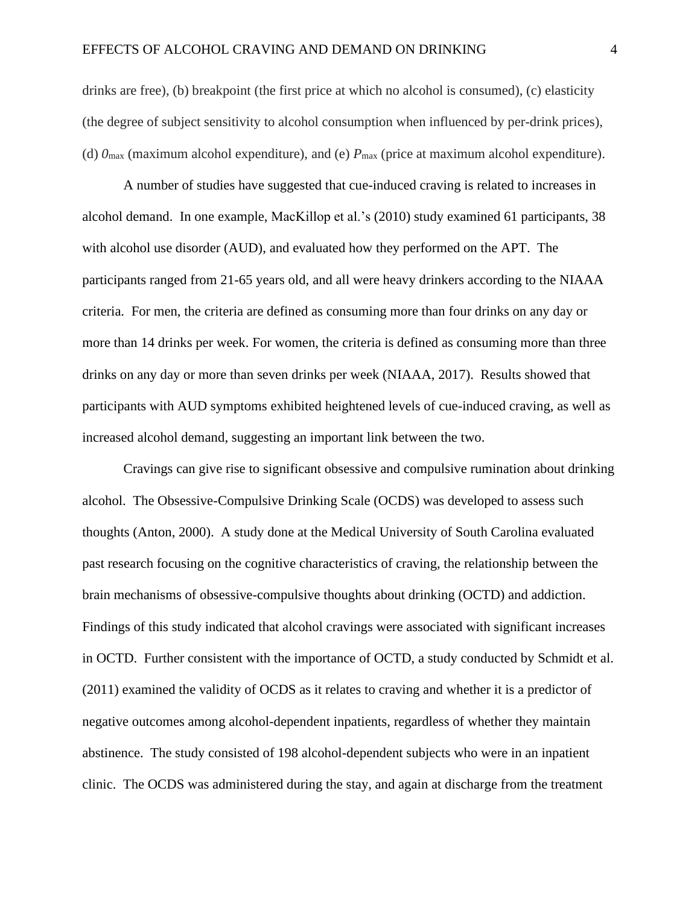drinks are free), (b) breakpoint (the first price at which no alcohol is consumed), (c) elasticity (the degree of subject sensitivity to alcohol consumption when influenced by per-drink prices), (d)  $\theta_{\text{max}}$  (maximum alcohol expenditure), and (e)  $P_{\text{max}}$  (price at maximum alcohol expenditure).

A number of studies have suggested that cue-induced craving is related to increases in alcohol demand. In one example, MacKillop et al.'s (2010) study examined 61 participants, 38 with alcohol use disorder (AUD), and evaluated how they performed on the APT. The participants ranged from 21-65 years old, and all were heavy drinkers according to the NIAAA criteria. For men, the criteria are defined as consuming more than four drinks on any day or more than 14 drinks per week. For women, the criteria is defined as consuming more than three drinks on any day or more than seven drinks per week (NIAAA, 2017). Results showed that participants with AUD symptoms exhibited heightened levels of cue-induced craving, as well as increased alcohol demand, suggesting an important link between the two.

Cravings can give rise to significant obsessive and compulsive rumination about drinking alcohol. The Obsessive-Compulsive Drinking Scale (OCDS) was developed to assess such thoughts (Anton, 2000). A study done at the Medical University of South Carolina evaluated past research focusing on the cognitive characteristics of craving, the relationship between the brain mechanisms of obsessive-compulsive thoughts about drinking (OCTD) and addiction. Findings of this study indicated that alcohol cravings were associated with significant increases in OCTD. Further consistent with the importance of OCTD, a study conducted by Schmidt et al. (2011) examined the validity of OCDS as it relates to craving and whether it is a predictor of negative outcomes among alcohol-dependent inpatients, regardless of whether they maintain abstinence. The study consisted of 198 alcohol-dependent subjects who were in an inpatient clinic. The OCDS was administered during the stay, and again at discharge from the treatment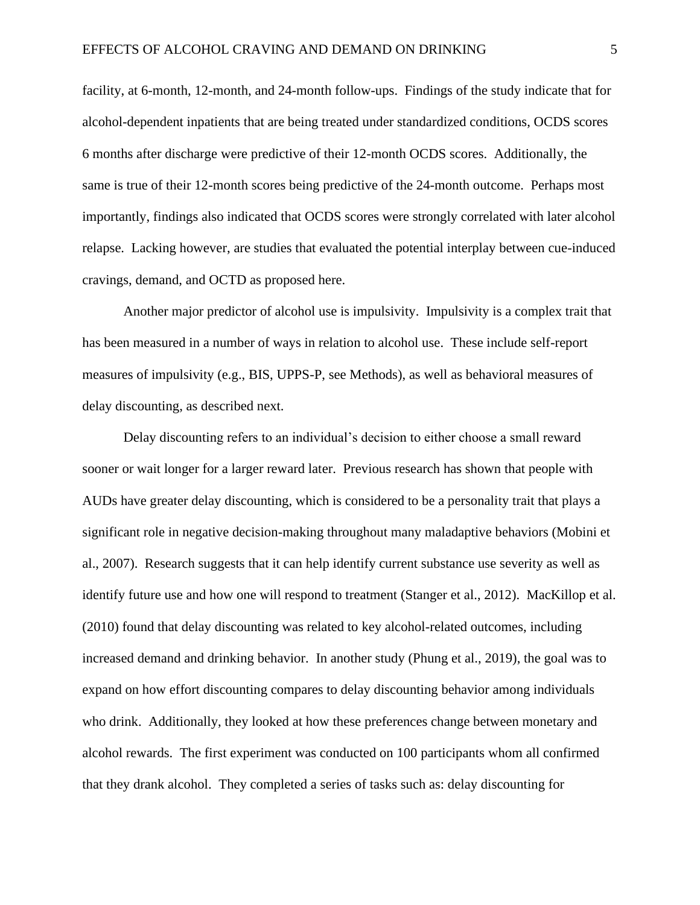facility, at 6-month, 12-month, and 24-month follow-ups. Findings of the study indicate that for alcohol-dependent inpatients that are being treated under standardized conditions, OCDS scores 6 months after discharge were predictive of their 12-month OCDS scores. Additionally, the same is true of their 12-month scores being predictive of the 24-month outcome. Perhaps most importantly, findings also indicated that OCDS scores were strongly correlated with later alcohol relapse. Lacking however, are studies that evaluated the potential interplay between cue-induced cravings, demand, and OCTD as proposed here.

Another major predictor of alcohol use is impulsivity. Impulsivity is a complex trait that has been measured in a number of ways in relation to alcohol use. These include self-report measures of impulsivity (e.g., BIS, UPPS-P, see Methods), as well as behavioral measures of delay discounting, as described next.

Delay discounting refers to an individual's decision to either choose a small reward sooner or wait longer for a larger reward later. Previous research has shown that people with AUDs have greater delay discounting, which is considered to be a personality trait that plays a significant role in negative decision-making throughout many maladaptive behaviors (Mobini et al., 2007). Research suggests that it can help identify current substance use severity as well as identify future use and how one will respond to treatment (Stanger et al., 2012). MacKillop et al. (2010) found that delay discounting was related to key alcohol-related outcomes, including increased demand and drinking behavior. In another study (Phung et al., 2019), the goal was to expand on how effort discounting compares to delay discounting behavior among individuals who drink. Additionally, they looked at how these preferences change between monetary and alcohol rewards. The first experiment was conducted on 100 participants whom all confirmed that they drank alcohol. They completed a series of tasks such as: delay discounting for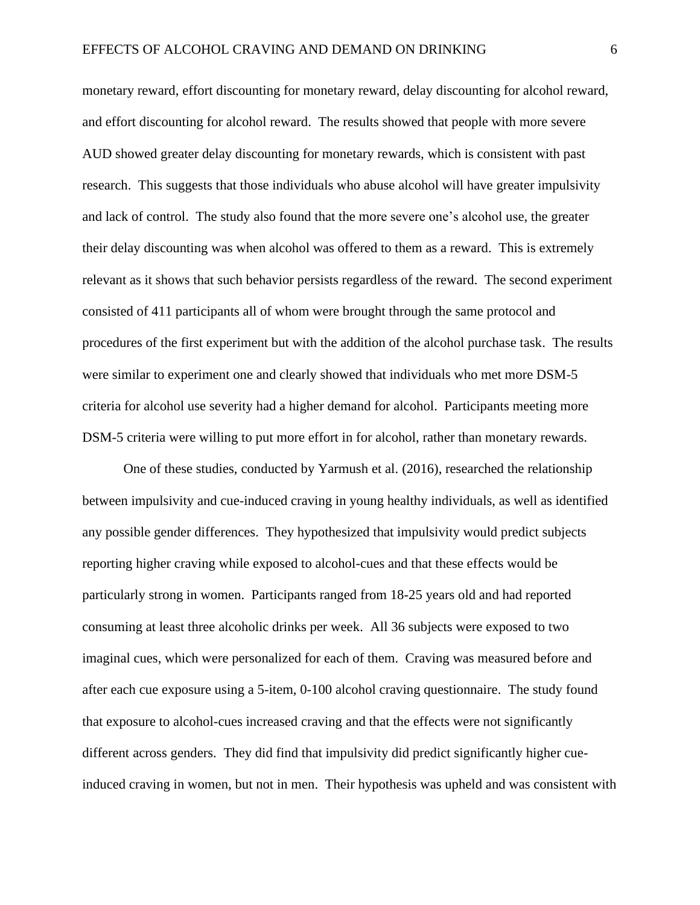monetary reward, effort discounting for monetary reward, delay discounting for alcohol reward, and effort discounting for alcohol reward. The results showed that people with more severe AUD showed greater delay discounting for monetary rewards, which is consistent with past research. This suggests that those individuals who abuse alcohol will have greater impulsivity and lack of control. The study also found that the more severe one's alcohol use, the greater their delay discounting was when alcohol was offered to them as a reward. This is extremely relevant as it shows that such behavior persists regardless of the reward. The second experiment consisted of 411 participants all of whom were brought through the same protocol and procedures of the first experiment but with the addition of the alcohol purchase task. The results were similar to experiment one and clearly showed that individuals who met more DSM-5 criteria for alcohol use severity had a higher demand for alcohol. Participants meeting more DSM-5 criteria were willing to put more effort in for alcohol, rather than monetary rewards.

One of these studies, conducted by Yarmush et al. (2016), researched the relationship between impulsivity and cue-induced craving in young healthy individuals, as well as identified any possible gender differences. They hypothesized that impulsivity would predict subjects reporting higher craving while exposed to alcohol-cues and that these effects would be particularly strong in women. Participants ranged from 18-25 years old and had reported consuming at least three alcoholic drinks per week. All 36 subjects were exposed to two imaginal cues, which were personalized for each of them. Craving was measured before and after each cue exposure using a 5-item, 0-100 alcohol craving questionnaire. The study found that exposure to alcohol-cues increased craving and that the effects were not significantly different across genders. They did find that impulsivity did predict significantly higher cueinduced craving in women, but not in men. Their hypothesis was upheld and was consistent with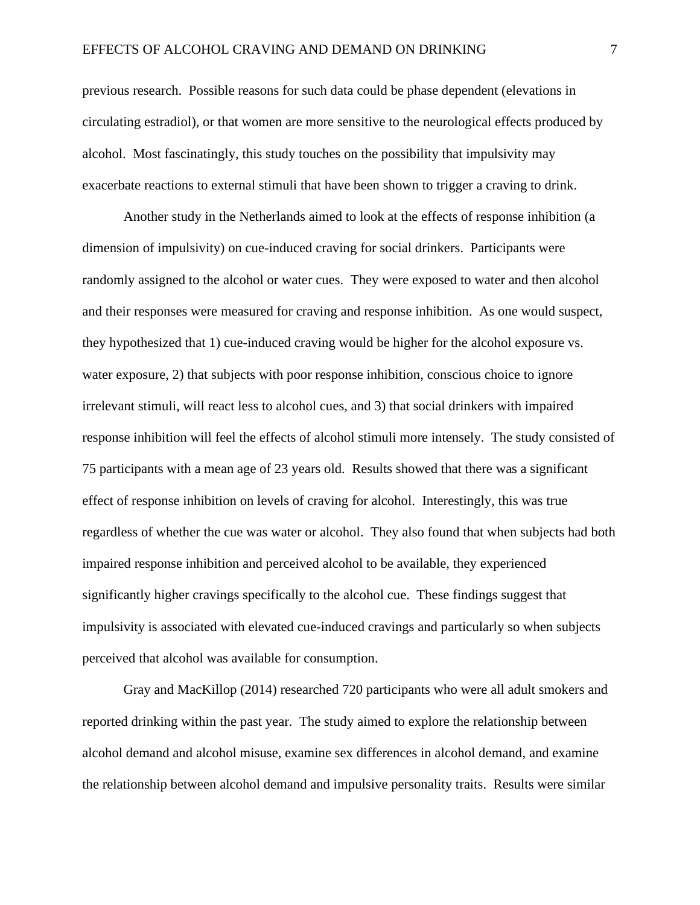previous research. Possible reasons for such data could be phase dependent (elevations in circulating estradiol), or that women are more sensitive to the neurological effects produced by alcohol. Most fascinatingly, this study touches on the possibility that impulsivity may exacerbate reactions to external stimuli that have been shown to trigger a craving to drink.

Another study in the Netherlands aimed to look at the effects of response inhibition (a dimension of impulsivity) on cue-induced craving for social drinkers. Participants were randomly assigned to the alcohol or water cues. They were exposed to water and then alcohol and their responses were measured for craving and response inhibition. As one would suspect, they hypothesized that 1) cue-induced craving would be higher for the alcohol exposure vs. water exposure, 2) that subjects with poor response inhibition, conscious choice to ignore irrelevant stimuli, will react less to alcohol cues, and 3) that social drinkers with impaired response inhibition will feel the effects of alcohol stimuli more intensely. The study consisted of 75 participants with a mean age of 23 years old. Results showed that there was a significant effect of response inhibition on levels of craving for alcohol. Interestingly, this was true regardless of whether the cue was water or alcohol. They also found that when subjects had both impaired response inhibition and perceived alcohol to be available, they experienced significantly higher cravings specifically to the alcohol cue. These findings suggest that impulsivity is associated with elevated cue-induced cravings and particularly so when subjects perceived that alcohol was available for consumption.

Gray and MacKillop (2014) researched 720 participants who were all adult smokers and reported drinking within the past year. The study aimed to explore the relationship between alcohol demand and alcohol misuse, examine sex differences in alcohol demand, and examine the relationship between alcohol demand and impulsive personality traits. Results were similar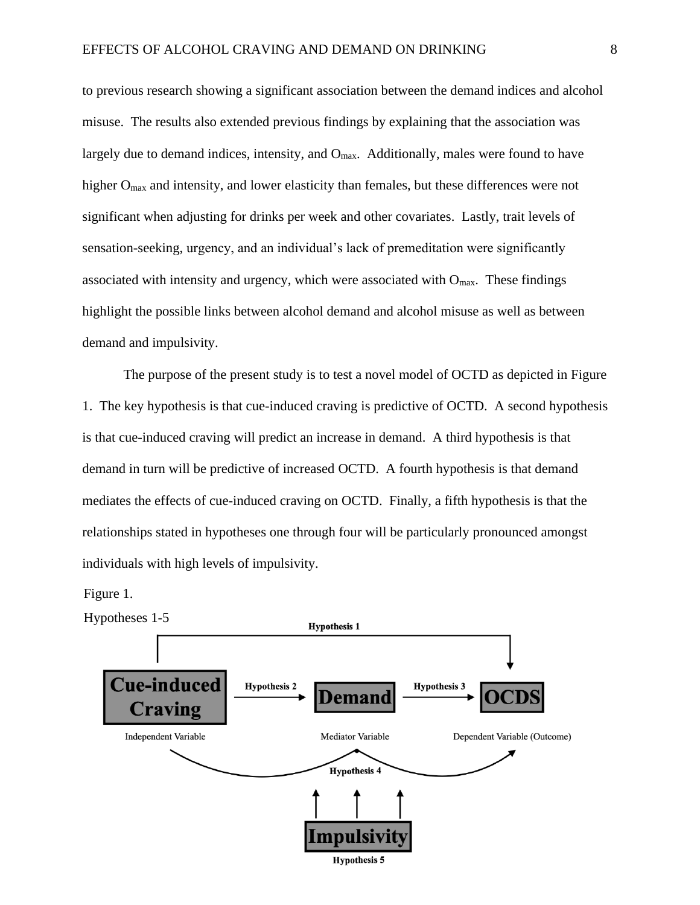to previous research showing a significant association between the demand indices and alcohol misuse. The results also extended previous findings by explaining that the association was largely due to demand indices, intensity, and  $O_{\text{max}}$ . Additionally, males were found to have higher O<sub>max</sub> and intensity, and lower elasticity than females, but these differences were not significant when adjusting for drinks per week and other covariates. Lastly, trait levels of sensation-seeking, urgency, and an individual's lack of premeditation were significantly associated with intensity and urgency, which were associated with  $O_{\text{max}}$ . These findings highlight the possible links between alcohol demand and alcohol misuse as well as between demand and impulsivity.

The purpose of the present study is to test a novel model of OCTD as depicted in Figure 1. The key hypothesis is that cue-induced craving is predictive of OCTD. A second hypothesis is that cue-induced craving will predict an increase in demand. A third hypothesis is that demand in turn will be predictive of increased OCTD. A fourth hypothesis is that demand mediates the effects of cue-induced craving on OCTD. Finally, a fifth hypothesis is that the relationships stated in hypotheses one through four will be particularly pronounced amongst individuals with high levels of impulsivity.

Figure 1.

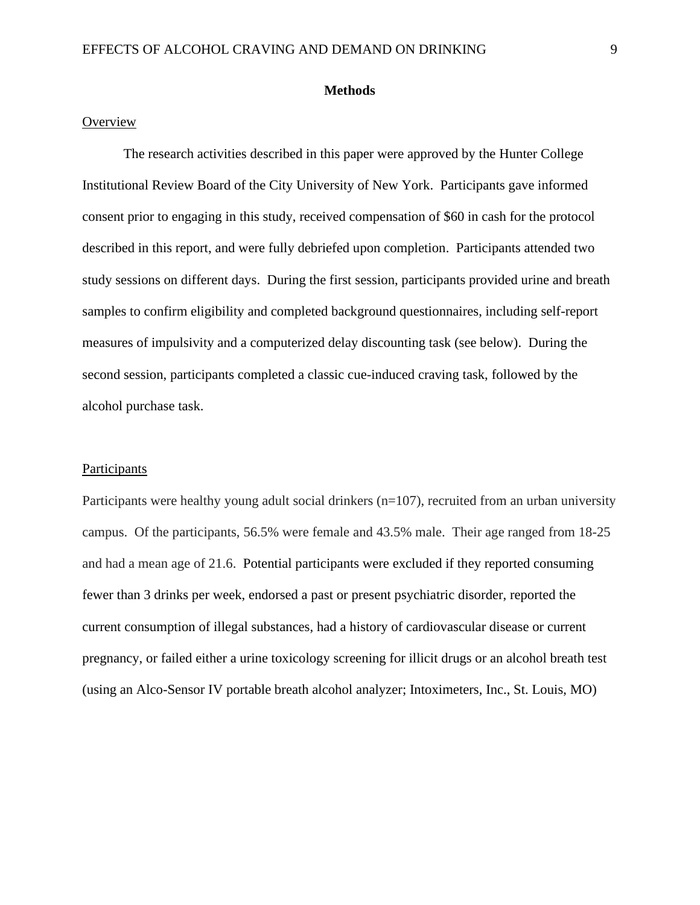#### **Methods**

#### **Overview**

The research activities described in this paper were approved by the Hunter College Institutional Review Board of the City University of New York. Participants gave informed consent prior to engaging in this study, received compensation of \$60 in cash for the protocol described in this report, and were fully debriefed upon completion. Participants attended two study sessions on different days. During the first session, participants provided urine and breath samples to confirm eligibility and completed background questionnaires, including self-report measures of impulsivity and a computerized delay discounting task (see below). During the second session, participants completed a classic cue-induced craving task, followed by the alcohol purchase task.

#### Participants

Participants were healthy young adult social drinkers (n=107), recruited from an urban university campus. Of the participants, 56.5% were female and 43.5% male. Their age ranged from 18-25 and had a mean age of 21.6. Potential participants were excluded if they reported consuming fewer than 3 drinks per week, endorsed a past or present psychiatric disorder, reported the current consumption of illegal substances, had a history of cardiovascular disease or current pregnancy, or failed either a urine toxicology screening for illicit drugs or an alcohol breath test (using an Alco-Sensor IV portable breath alcohol analyzer; Intoximeters, Inc., St. Louis, MO)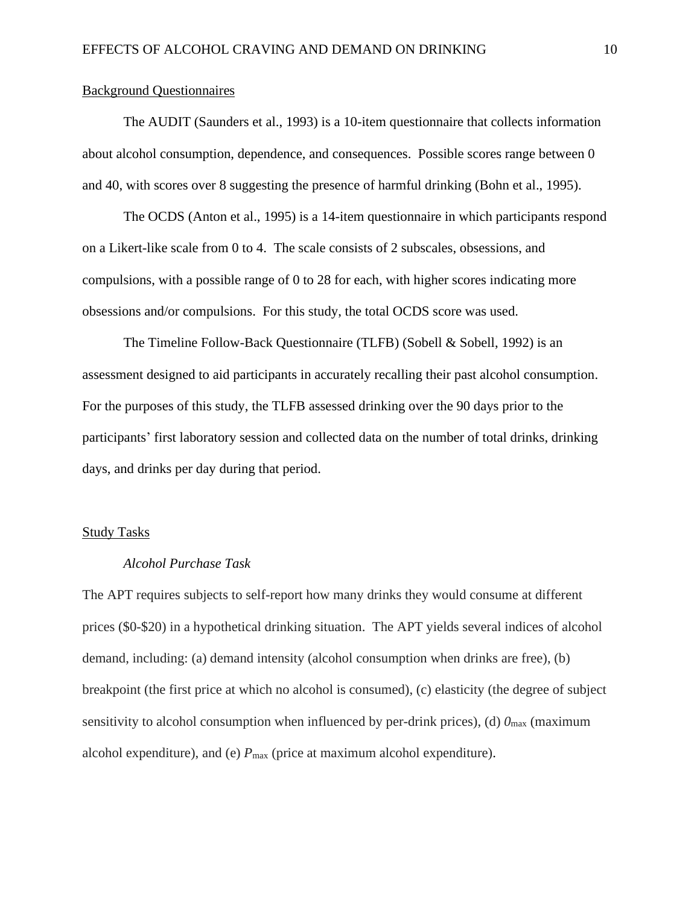#### Background Questionnaires

The AUDIT (Saunders et al., 1993) is a 10-item questionnaire that collects information about alcohol consumption, dependence, and consequences. Possible scores range between 0 and 40, with scores over 8 suggesting the presence of harmful drinking (Bohn et al., 1995).

The OCDS (Anton et al., 1995) is a 14-item questionnaire in which participants respond on a Likert-like scale from 0 to 4. The scale consists of 2 subscales, obsessions, and compulsions, with a possible range of 0 to 28 for each, with higher scores indicating more obsessions and/or compulsions. For this study, the total OCDS score was used.

The Timeline Follow-Back Questionnaire (TLFB) (Sobell & Sobell, 1992) is an assessment designed to aid participants in accurately recalling their past alcohol consumption. For the purposes of this study, the TLFB assessed drinking over the 90 days prior to the participants' first laboratory session and collected data on the number of total drinks, drinking days, and drinks per day during that period.

## Study Tasks

#### *Alcohol Purchase Task*

The APT requires subjects to self-report how many drinks they would consume at different prices (\$0-\$20) in a hypothetical drinking situation. The APT yields several indices of alcohol demand, including: (a) demand intensity (alcohol consumption when drinks are free), (b) breakpoint (the first price at which no alcohol is consumed), (c) elasticity (the degree of subject sensitivity to alcohol consumption when influenced by per-drink prices), (d)  $0<sub>max</sub>$  (maximum alcohol expenditure), and (e)  $P_{\text{max}}$  (price at maximum alcohol expenditure).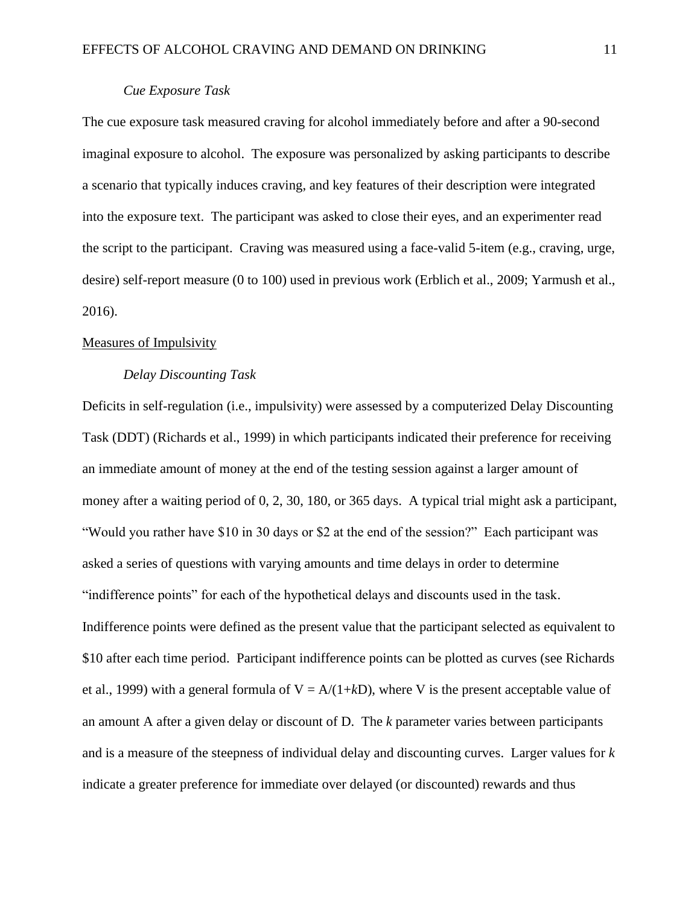#### *Cue Exposure Task*

The cue exposure task measured craving for alcohol immediately before and after a 90-second imaginal exposure to alcohol. The exposure was personalized by asking participants to describe a scenario that typically induces craving, and key features of their description were integrated into the exposure text. The participant was asked to close their eyes, and an experimenter read the script to the participant. Craving was measured using a face-valid 5-item (e.g., craving, urge, desire) self-report measure (0 to 100) used in previous work (Erblich et al., 2009; Yarmush et al., 2016).

#### Measures of Impulsivity

#### *Delay Discounting Task*

Deficits in self-regulation (i.e., impulsivity) were assessed by a computerized Delay Discounting Task (DDT) (Richards et al., 1999) in which participants indicated their preference for receiving an immediate amount of money at the end of the testing session against a larger amount of money after a waiting period of 0, 2, 30, 180, or 365 days. A typical trial might ask a participant, "Would you rather have \$10 in 30 days or \$2 at the end of the session?" Each participant was asked a series of questions with varying amounts and time delays in order to determine "indifference points" for each of the hypothetical delays and discounts used in the task. Indifference points were defined as the present value that the participant selected as equivalent to \$10 after each time period. Participant indifference points can be plotted as curves (see Richards et al., 1999) with a general formula of  $V = A/(1+kD)$ , where V is the present acceptable value of an amount A after a given delay or discount of D. The *k* parameter varies between participants and is a measure of the steepness of individual delay and discounting curves. Larger values for *k*  indicate a greater preference for immediate over delayed (or discounted) rewards and thus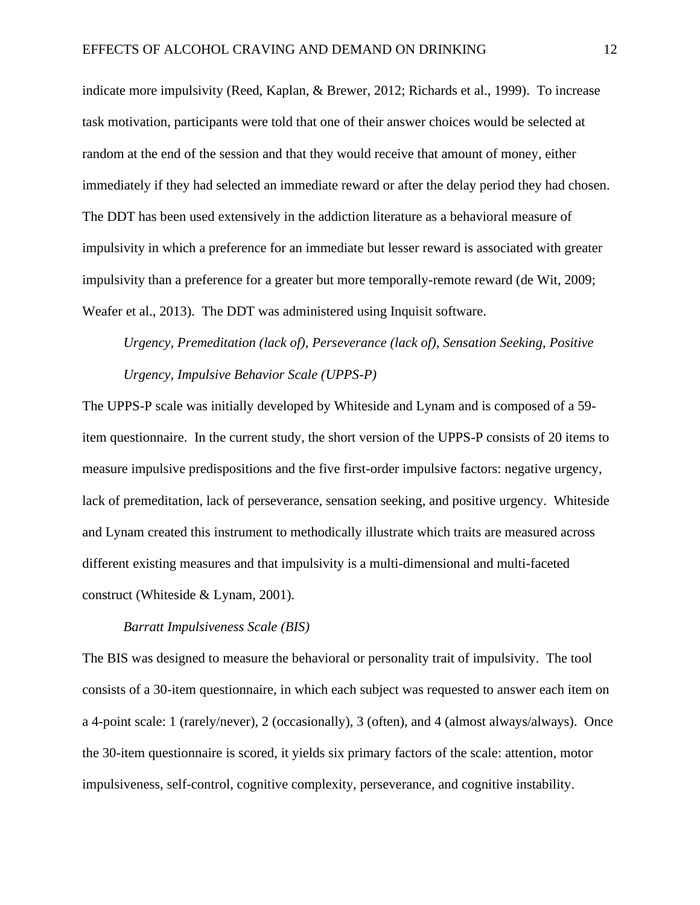indicate more impulsivity (Reed, Kaplan, & Brewer, 2012; Richards et al., 1999). To increase task motivation, participants were told that one of their answer choices would be selected at random at the end of the session and that they would receive that amount of money, either immediately if they had selected an immediate reward or after the delay period they had chosen. The DDT has been used extensively in the addiction literature as a behavioral measure of impulsivity in which a preference for an immediate but lesser reward is associated with greater impulsivity than a preference for a greater but more temporally-remote reward (de Wit, 2009; Weafer et al., 2013). The DDT was administered using Inquisit software.

*Urgency, Premeditation (lack of), Perseverance (lack of), Sensation Seeking, Positive Urgency, Impulsive Behavior Scale (UPPS-P)*

The UPPS-P scale was initially developed by Whiteside and Lynam and is composed of a 59 item questionnaire. In the current study, the short version of the UPPS-P consists of 20 items to measure impulsive predispositions and the five first-order impulsive factors: negative urgency, lack of premeditation, lack of perseverance, sensation seeking, and positive urgency. Whiteside and Lynam created this instrument to methodically illustrate which traits are measured across different existing measures and that impulsivity is a multi-dimensional and multi-faceted construct (Whiteside & Lynam, 2001).

#### *Barratt Impulsiveness Scale (BIS)*

The BIS was designed to measure the behavioral or personality trait of impulsivity. The tool consists of a 30-item questionnaire, in which each subject was requested to answer each item on a 4-point scale: 1 (rarely/never), 2 (occasionally), 3 (often), and 4 (almost always/always). Once the 30-item questionnaire is scored, it yields six primary factors of the scale: attention, motor impulsiveness, self-control, cognitive complexity, perseverance, and cognitive instability.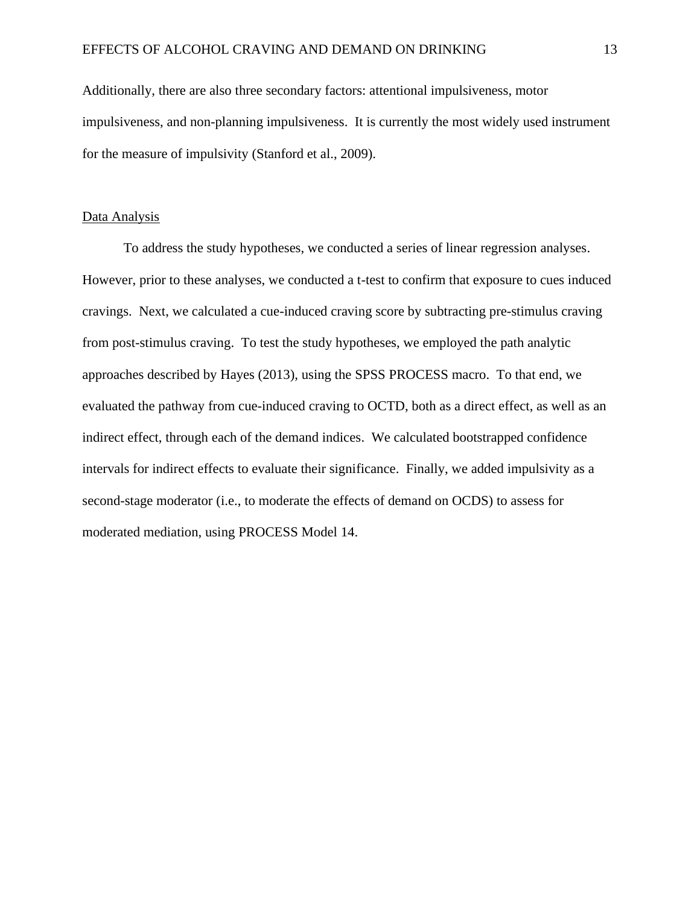Additionally, there are also three secondary factors: attentional impulsiveness, motor impulsiveness, and non-planning impulsiveness. It is currently the most widely used instrument for the measure of impulsivity (Stanford et al., 2009).

#### Data Analysis

To address the study hypotheses, we conducted a series of linear regression analyses. However, prior to these analyses, we conducted a t-test to confirm that exposure to cues induced cravings. Next, we calculated a cue-induced craving score by subtracting pre-stimulus craving from post-stimulus craving. To test the study hypotheses, we employed the path analytic approaches described by Hayes (2013), using the SPSS PROCESS macro. To that end, we evaluated the pathway from cue-induced craving to OCTD, both as a direct effect, as well as an indirect effect, through each of the demand indices. We calculated bootstrapped confidence intervals for indirect effects to evaluate their significance. Finally, we added impulsivity as a second-stage moderator (i.e., to moderate the effects of demand on OCDS) to assess for moderated mediation, using PROCESS Model 14.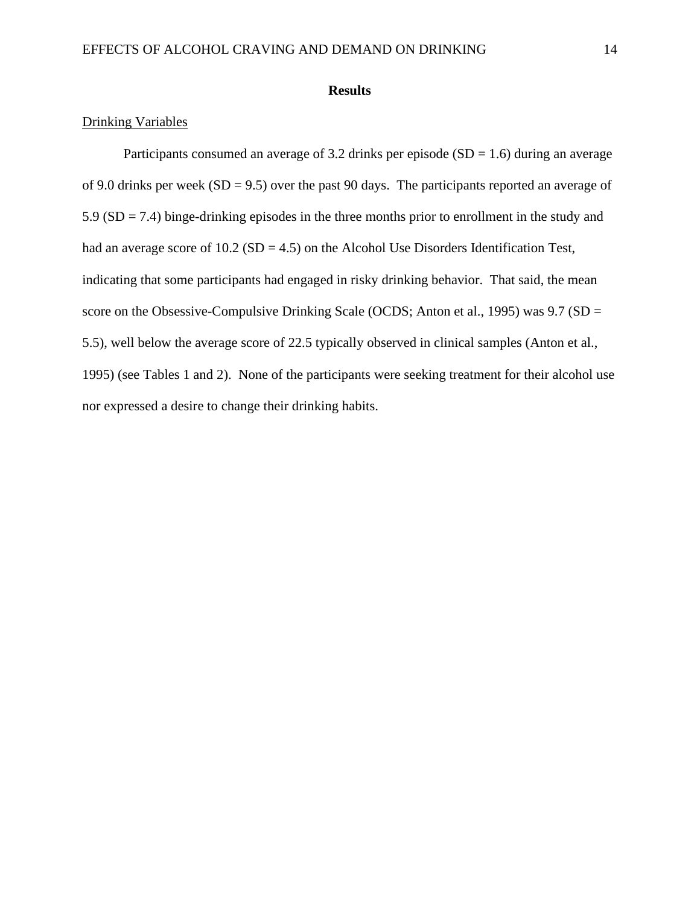### **Results**

## Drinking Variables

Participants consumed an average of 3.2 drinks per episode  $(SD = 1.6)$  during an average of 9.0 drinks per week  $(SD = 9.5)$  over the past 90 days. The participants reported an average of  $5.9$  (SD = 7.4) binge-drinking episodes in the three months prior to enrollment in the study and had an average score of  $10.2$  (SD = 4.5) on the Alcohol Use Disorders Identification Test, indicating that some participants had engaged in risky drinking behavior. That said, the mean score on the Obsessive-Compulsive Drinking Scale (OCDS; Anton et al., 1995) was  $9.7$  (SD = 5.5), well below the average score of 22.5 typically observed in clinical samples (Anton et al., 1995) (see Tables 1 and 2). None of the participants were seeking treatment for their alcohol use nor expressed a desire to change their drinking habits.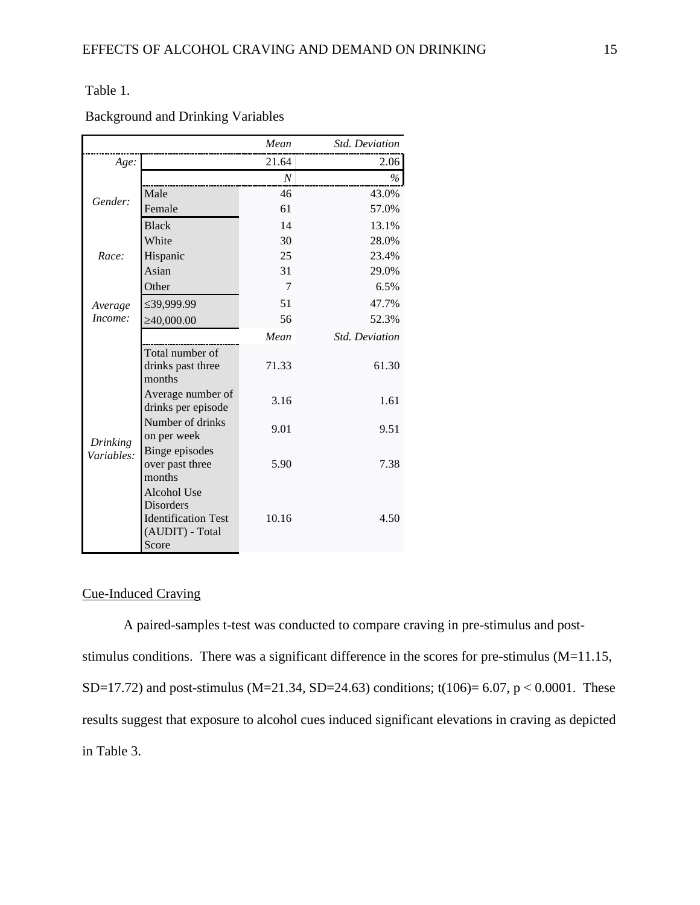## Table 1.

Background and Drinking Variables

|                        |                                                                                    | Mean             | <b>Std. Deviation</b> |
|------------------------|------------------------------------------------------------------------------------|------------------|-----------------------|
| Age:                   |                                                                                    | 21.64            | 2.06                  |
|                        |                                                                                    | $\boldsymbol{N}$ | $\%$                  |
| Gender:                | Male                                                                               | 46               | 43.0%                 |
|                        | Female                                                                             | 61               | 57.0%                 |
|                        | <b>Black</b>                                                                       | 14               | 13.1%                 |
|                        | White                                                                              | 30               | 28.0%                 |
| Race:                  | Hispanic                                                                           | 25               | 23.4%                 |
|                        | Asian                                                                              | 31               | 29.0%                 |
|                        | Other                                                                              | 7                | 6.5%                  |
| Average                | ≤39,999.99                                                                         | 51               | 47.7%                 |
| Income:                | $\geq 40,000.00$                                                                   | 56               | 52.3%                 |
|                        |                                                                                    | Mean             | <b>Std.</b> Deviation |
| Drinking<br>Variables: | Total number of<br>drinks past three<br>months                                     | 71.33            | 61.30                 |
|                        | Average number of<br>drinks per episode                                            | 3.16             | 1.61                  |
|                        | Number of drinks<br>on per week                                                    | 9.01             | 9.51                  |
|                        | Binge episodes<br>over past three<br>months                                        | 5.90             | 7.38                  |
|                        | Alcohol Use<br>Disorders<br><b>Identification Test</b><br>(AUDIT) - Total<br>Score | 10.16            | 4.50                  |

## Cue-Induced Craving

A paired-samples t-test was conducted to compare craving in pre-stimulus and poststimulus conditions. There was a significant difference in the scores for pre-stimulus (M=11.15, SD=17.72) and post-stimulus (M=21.34, SD=24.63) conditions; t(106)= 6.07, p < 0.0001. These results suggest that exposure to alcohol cues induced significant elevations in craving as depicted in Table 3.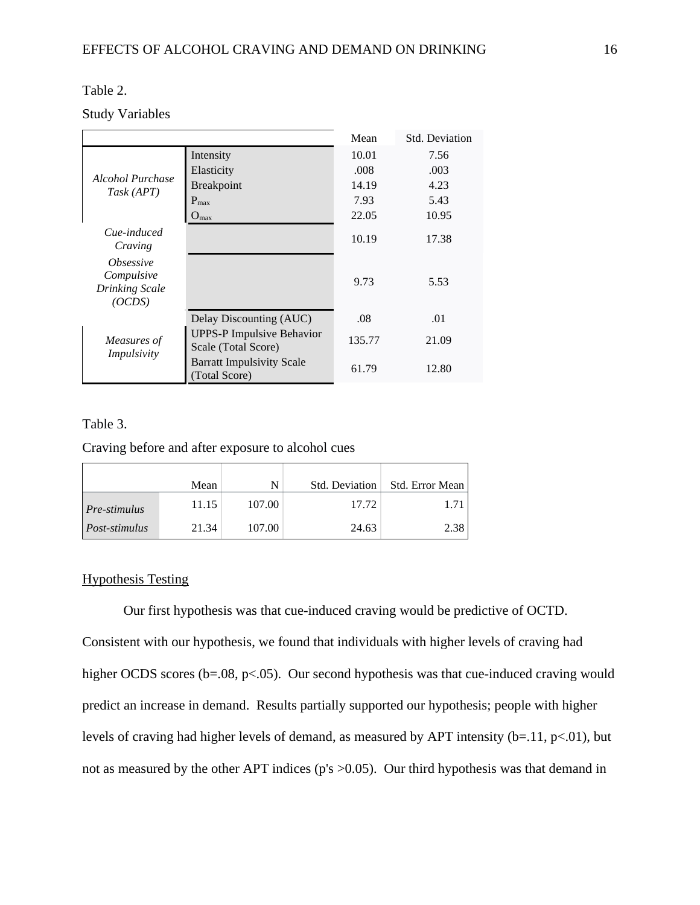## Table 2.

## Study Variables

|                                                                          |                                                         | Mean   | <b>Std. Deviation</b> |
|--------------------------------------------------------------------------|---------------------------------------------------------|--------|-----------------------|
|                                                                          | Intensity                                               | 10.01  | 7.56                  |
|                                                                          | Elasticity                                              | .008   | .003                  |
| Alcohol Purchase<br>Task (APT)                                           | Breakpoint                                              | 14.19  | 4.23                  |
|                                                                          | $P_{\text{max}}$                                        | 7.93   | 5.43                  |
|                                                                          | $O_{max}$                                               | 22.05  | 10.95                 |
| Cue-induced<br>Craving                                                   |                                                         | 10.19  | 17.38                 |
| <i><b>Obsessive</b></i><br>Compulsive<br><b>Drinking Scale</b><br>(OCDS) |                                                         | 9.73   | 5.53                  |
|                                                                          | Delay Discounting (AUC)                                 | .08    | .01                   |
| Measures of<br>Impulsivity                                               | <b>UPPS-P Impulsive Behavior</b><br>Scale (Total Score) | 135.77 | 21.09                 |
|                                                                          | <b>Barratt Impulsivity Scale</b><br>(Total Score)       | 61.79  | 12.80                 |

## Table 3.

Craving before and after exposure to alcohol cues

|                     | Mean  |        | Std. Deviation | Std. Error Mean |
|---------------------|-------|--------|----------------|-----------------|
| <i>Pre-stimulus</i> | 11.15 | 107.00 | 17.72          |                 |
| Post-stimulus       | 21.34 | 107.00 | 24.63          | 2.38            |

## Hypothesis Testing

Our first hypothesis was that cue-induced craving would be predictive of OCTD. Consistent with our hypothesis, we found that individuals with higher levels of craving had

higher OCDS scores (b=.08, p<.05). Our second hypothesis was that cue-induced craving would predict an increase in demand. Results partially supported our hypothesis; people with higher levels of craving had higher levels of demand, as measured by APT intensity ( $b=11$ ,  $p<01$ ), but not as measured by the other APT indices (p's  $>0.05$ ). Our third hypothesis was that demand in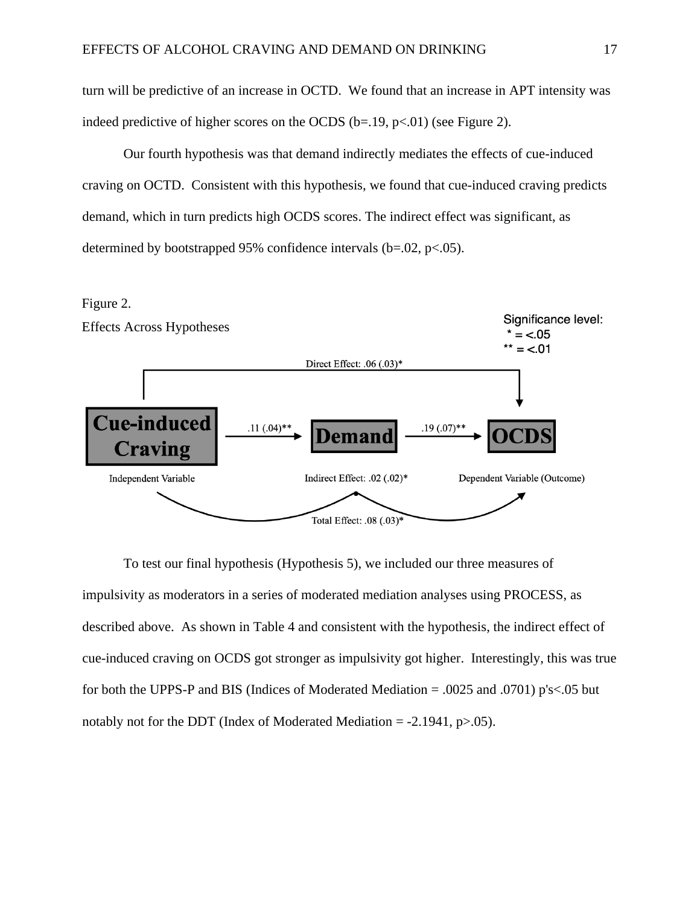turn will be predictive of an increase in OCTD. We found that an increase in APT intensity was indeed predictive of higher scores on the OCDS ( $b=19$ ,  $p<01$ ) (see Figure 2).

Our fourth hypothesis was that demand indirectly mediates the effects of cue-induced craving on OCTD. Consistent with this hypothesis, we found that cue-induced craving predicts demand, which in turn predicts high OCDS scores. The indirect effect was significant, as determined by bootstrapped 95% confidence intervals  $(b=.02, p<.05)$ .



To test our final hypothesis (Hypothesis 5), we included our three measures of impulsivity as moderators in a series of moderated mediation analyses using PROCESS, as described above. As shown in Table 4 and consistent with the hypothesis, the indirect effect of cue-induced craving on OCDS got stronger as impulsivity got higher. Interestingly, this was true for both the UPPS-P and BIS (Indices of Moderated Mediation = .0025 and .0701) p's<.05 but notably not for the DDT (Index of Moderated Mediation  $= -2.1941$ , p $> 0.05$ ).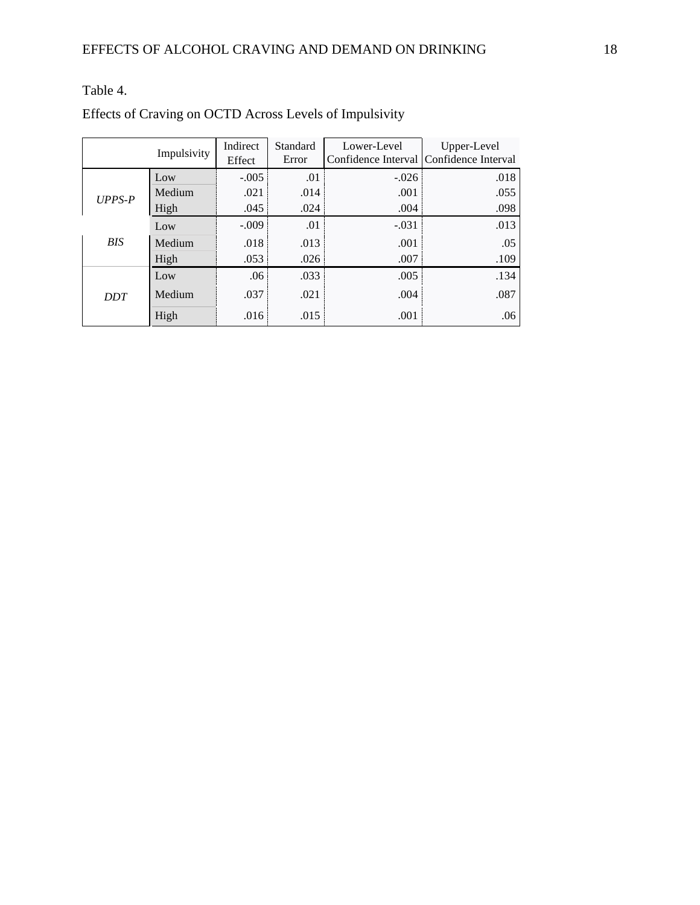## Effects of Craving on OCTD Across Levels of Impulsivity

| Impulsivity |        | Indirect<br>Effect | Standard<br>Error | Lower-Level | Upper-Level<br>Confidence Interval   Confidence Interval |
|-------------|--------|--------------------|-------------------|-------------|----------------------------------------------------------|
| $UPPS-P$    | Low    | $-.005$            | .01               | $-.026$     | .018                                                     |
|             | Medium | .021               | .014              | .001        | .055                                                     |
|             | High   | .045               | .024              | .004        | .098                                                     |
| <b>BIS</b>  | Low    | $-.009$            | .01               | $-.031$     | .013                                                     |
|             | Medium | .018               | .013              | .001        | .05                                                      |
|             | High   | .053               | .026              | .007        | .109                                                     |
| <b>DDT</b>  | Low    | .06                | .033              | .005        | .134                                                     |
|             | Medium | .037               | .021              | .004        | .087                                                     |
|             | High   | .016               | .015              | .001        | .06                                                      |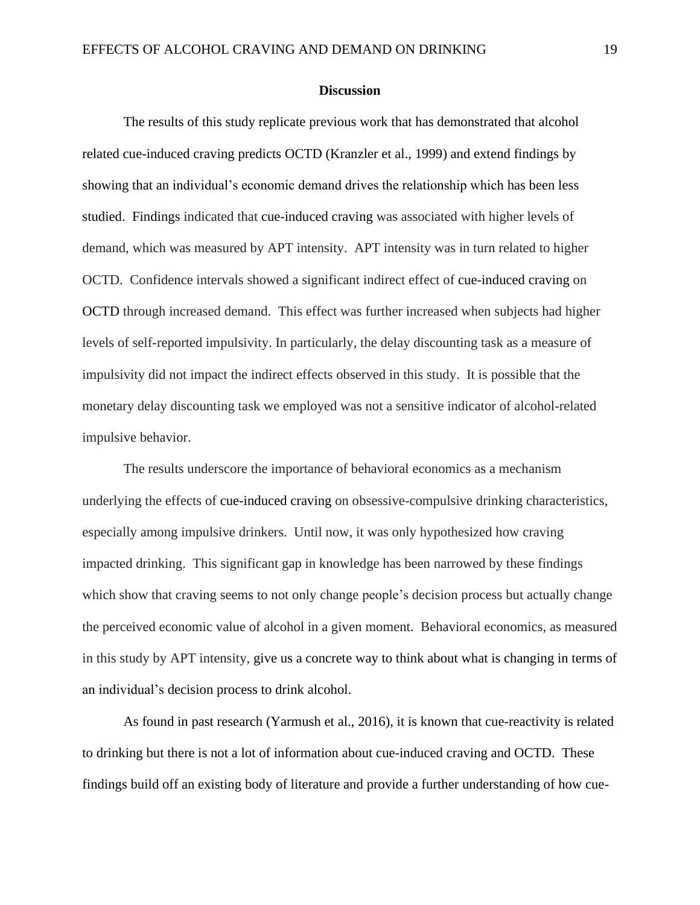#### **Discussion**

The results of this study replicate previous work that has demonstrated that alcohol related cue-induced craving predicts OCTD (Kranzler et al., 1999) and extend findings by showing that an individual's economic demand drives the relationship which has been less studied. Findings indicated that cue-induced craving was associated with higher levels of demand, which was measured by APT intensity. APT intensity was in turn related to higher OCTD. Confidence intervals showed a significant indirect effect of cue-induced craving on OCTD through increased demand. This effect was further increased when subjects had higher levels of self-reported impulsivity. In particularly, the delay discounting task as a measure of impulsivity did not impact the indirect effects observed in this study. It is possible that the monetary delay discounting task we employed was not a sensitive indicator of alcohol-related impulsive behavior.

The results underscore the importance of behavioral economics as a mechanism underlying the effects of cue-induced craving on obsessive-compulsive drinking characteristics, especially among impulsive drinkers. Until now, it was only hypothesized how craving impacted drinking. This significant gap in knowledge has been narrowed by these findings which show that craving seems to not only change people's decision process but actually change the perceived economic value of alcohol in a given moment. Behavioral economics, as measured in this study by APT intensity, give us a concrete way to think about what is changing in terms of an individual's decision process to drink alcohol.

As found in past research (Yarmush et al., 2016), it is known that cue-reactivity is related to drinking but there is not a lot of information about cue-induced craving and OCTD. These findings build off an existing body of literature and provide a further understanding of how cue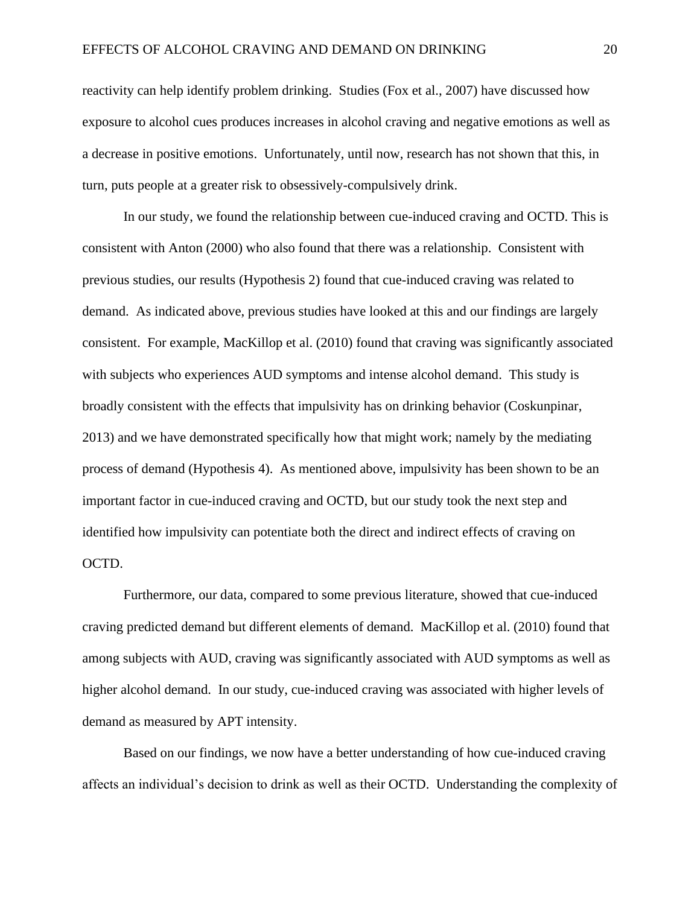reactivity can help identify problem drinking. Studies (Fox et al., 2007) have discussed how exposure to alcohol cues produces increases in alcohol craving and negative emotions as well as a decrease in positive emotions. Unfortunately, until now, research has not shown that this, in turn, puts people at a greater risk to obsessively-compulsively drink.

In our study, we found the relationship between cue-induced craving and OCTD. This is consistent with Anton (2000) who also found that there was a relationship. Consistent with previous studies, our results (Hypothesis 2) found that cue-induced craving was related to demand. As indicated above, previous studies have looked at this and our findings are largely consistent. For example, MacKillop et al. (2010) found that craving was significantly associated with subjects who experiences AUD symptoms and intense alcohol demand. This study is broadly consistent with the effects that impulsivity has on drinking behavior (Coskunpinar, 2013) and we have demonstrated specifically how that might work; namely by the mediating process of demand (Hypothesis 4). As mentioned above, impulsivity has been shown to be an important factor in cue-induced craving and OCTD, but our study took the next step and identified how impulsivity can potentiate both the direct and indirect effects of craving on OCTD.

Furthermore, our data, compared to some previous literature, showed that cue-induced craving predicted demand but different elements of demand. MacKillop et al. (2010) found that among subjects with AUD, craving was significantly associated with AUD symptoms as well as higher alcohol demand. In our study, cue-induced craving was associated with higher levels of demand as measured by APT intensity.

Based on our findings, we now have a better understanding of how cue-induced craving affects an individual's decision to drink as well as their OCTD. Understanding the complexity of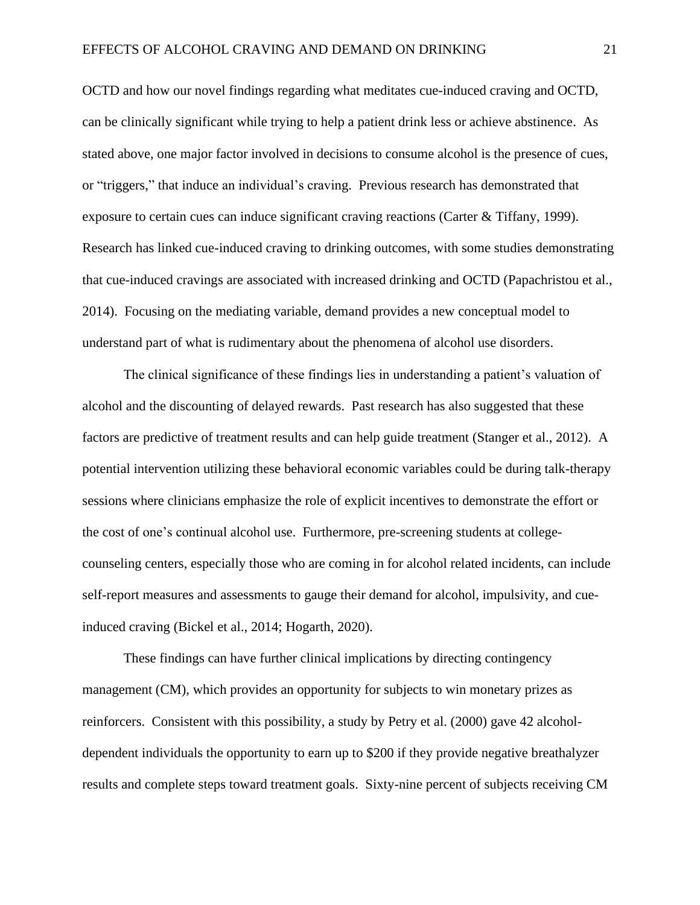OCTD and how our novel findings regarding what meditates cue-induced craving and OCTD, can be clinically significant while trying to help a patient drink less or achieve abstinence. As stated above, one major factor involved in decisions to consume alcohol is the presence of cues, or "triggers," that induce an individual's craving. Previous research has demonstrated that exposure to certain cues can induce significant craving reactions (Carter & Tiffany, 1999). Research has linked cue-induced craving to drinking outcomes, with some studies demonstrating that cue-induced cravings are associated with increased drinking and OCTD (Papachristou et al., 2014). Focusing on the mediating variable, demand provides a new conceptual model to understand part of what is rudimentary about the phenomena of alcohol use disorders.

The clinical significance of these findings lies in understanding a patient's valuation of alcohol and the discounting of delayed rewards. Past research has also suggested that these factors are predictive of treatment results and can help guide treatment (Stanger et al., 2012). A potential intervention utilizing these behavioral economic variables could be during talk-therapy sessions where clinicians emphasize the role of explicit incentives to demonstrate the effort or the cost of one's continual alcohol use. Furthermore, pre-screening students at collegecounseling centers, especially those who are coming in for alcohol related incidents, can include self-report measures and assessments to gauge their demand for alcohol, impulsivity, and cueinduced craving (Bickel et al., 2014; Hogarth, 2020).

These findings can have further clinical implications by directing contingency management (CM), which provides an opportunity for subjects to win monetary prizes as reinforcers. Consistent with this possibility, a study by Petry et al. (2000) gave 42 alcoholdependent individuals the opportunity to earn up to \$200 if they provide negative breathalyzer results and complete steps toward treatment goals. Sixty-nine percent of subjects receiving CM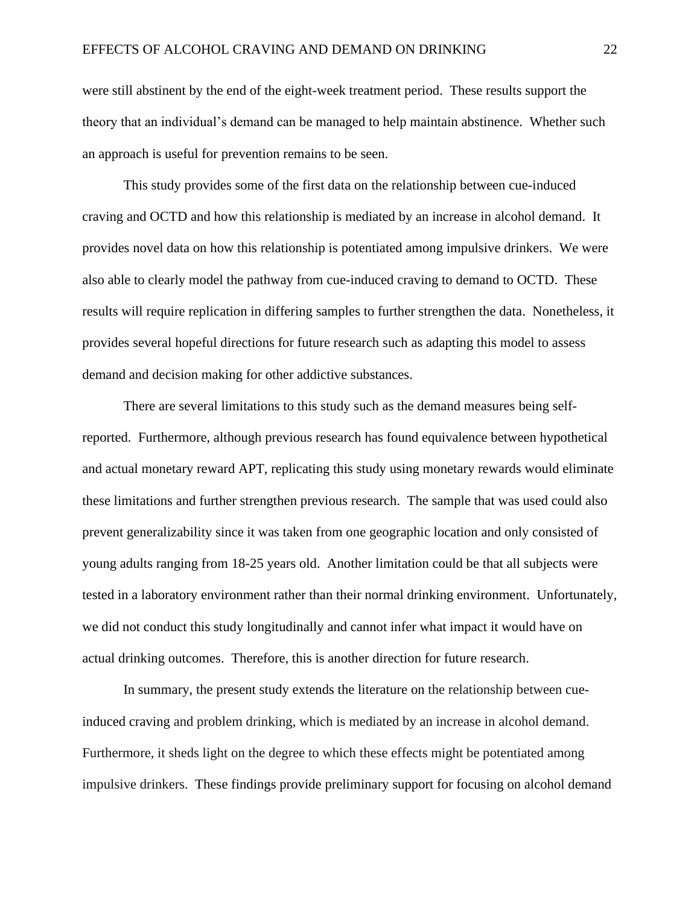were still abstinent by the end of the eight-week treatment period. These results support the theory that an individual's demand can be managed to help maintain abstinence. Whether such an approach is useful for prevention remains to be seen.

This study provides some of the first data on the relationship between cue-induced craving and OCTD and how this relationship is mediated by an increase in alcohol demand. It provides novel data on how this relationship is potentiated among impulsive drinkers. We were also able to clearly model the pathway from cue-induced craving to demand to OCTD. These results will require replication in differing samples to further strengthen the data. Nonetheless, it provides several hopeful directions for future research such as adapting this model to assess demand and decision making for other addictive substances.

There are several limitations to this study such as the demand measures being selfreported. Furthermore, although previous research has found equivalence between hypothetical and actual monetary reward APT, replicating this study using monetary rewards would eliminate these limitations and further strengthen previous research. The sample that was used could also prevent generalizability since it was taken from one geographic location and only consisted of young adults ranging from 18-25 years old. Another limitation could be that all subjects were tested in a laboratory environment rather than their normal drinking environment. Unfortunately, we did not conduct this study longitudinally and cannot infer what impact it would have on actual drinking outcomes. Therefore, this is another direction for future research.

In summary, the present study extends the literature on the relationship between cueinduced craving and problem drinking, which is mediated by an increase in alcohol demand. Furthermore, it sheds light on the degree to which these effects might be potentiated among impulsive drinkers. These findings provide preliminary support for focusing on alcohol demand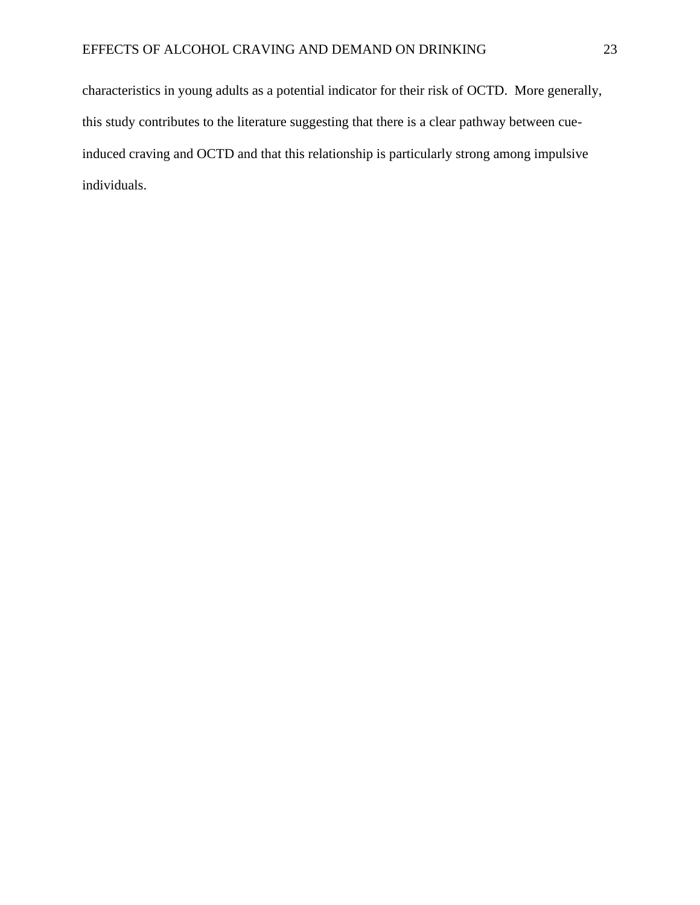characteristics in young adults as a potential indicator for their risk of OCTD. More generally, this study contributes to the literature suggesting that there is a clear pathway between cueinduced craving and OCTD and that this relationship is particularly strong among impulsive individuals.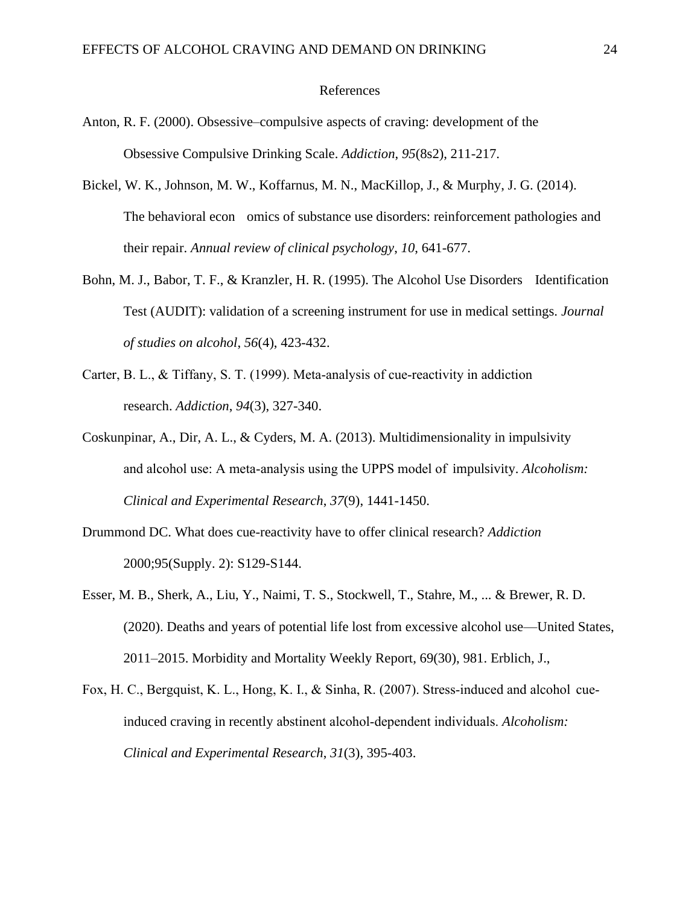#### References

- Anton, R. F. (2000). Obsessive–compulsive aspects of craving: development of the Obsessive Compulsive Drinking Scale. *Addiction*, *95*(8s2), 211-217.
- Bickel, W. K., Johnson, M. W., Koffarnus, M. N., MacKillop, J., & Murphy, J. G. (2014). The behavioral econ omics of substance use disorders: reinforcement pathologies and their repair. *Annual review of clinical psychology*, *10*, 641-677.
- Bohn, M. J., Babor, T. F., & Kranzler, H. R. (1995). The Alcohol Use Disorders Identification Test (AUDIT): validation of a screening instrument for use in medical settings. *Journal of studies on alcohol*, *56*(4), 423-432.
- Carter, B. L., & Tiffany, S. T. (1999). Meta-analysis of cue-reactivity in addiction research. *Addiction*, *94*(3), 327-340.
- Coskunpinar, A., Dir, A. L., & Cyders, M. A. (2013). Multidimensionality in impulsivity and alcohol use: A meta‐analysis using the UPPS model of impulsivity. *Alcoholism: Clinical and Experimental Research*, *37*(9), 1441-1450.
- Drummond DC. What does cue-reactivity have to offer clinical research? *Addiction* 2000;95(Supply. 2): S129-S144.
- Esser, M. B., Sherk, A., Liu, Y., Naimi, T. S., Stockwell, T., Stahre, M., ... & Brewer, R. D. (2020). Deaths and years of potential life lost from excessive alcohol use—United States, 2011–2015. Morbidity and Mortality Weekly Report, 69(30), 981. Erblich, J.,
- Fox, H. C., Bergquist, K. L., Hong, K. I., & Sinha, R. (2007). Stress-induced and alcohol cueinduced craving in recently abstinent alcohol‐dependent individuals. *Alcoholism: Clinical and Experimental Research*, *31*(3), 395-403.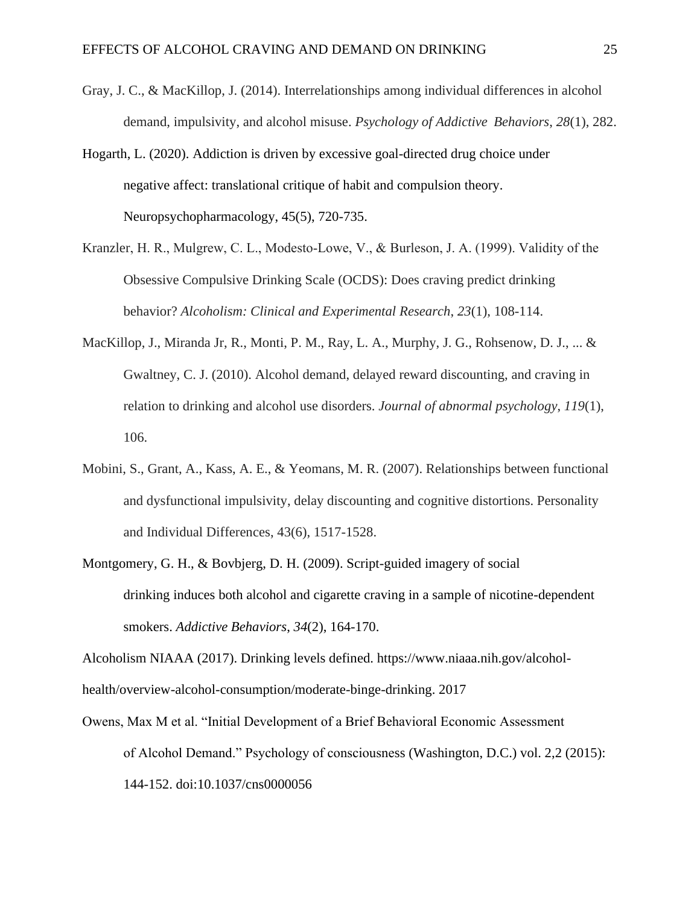- Gray, J. C., & MacKillop, J. (2014). Interrelationships among individual differences in alcohol demand, impulsivity, and alcohol misuse. *Psychology of Addictive Behaviors*, *28*(1), 282.
- Hogarth, L. (2020). Addiction is driven by excessive goal-directed drug choice under negative affect: translational critique of habit and compulsion theory. Neuropsychopharmacology, 45(5), 720-735.
- Kranzler, H. R., Mulgrew, C. L., Modesto‐Lowe, V., & Burleson, J. A. (1999). Validity of the Obsessive Compulsive Drinking Scale (OCDS): Does craving predict drinking behavior? *Alcoholism: Clinical and Experimental Research*, *23*(1), 108-114.
- MacKillop, J., Miranda Jr, R., Monti, P. M., Ray, L. A., Murphy, J. G., Rohsenow, D. J., ... & Gwaltney, C. J. (2010). Alcohol demand, delayed reward discounting, and craving in relation to drinking and alcohol use disorders. *Journal of abnormal psychology*, *119*(1), 106.
- Mobini, S., Grant, A., Kass, A. E., & Yeomans, M. R. (2007). Relationships between functional and dysfunctional impulsivity, delay discounting and cognitive distortions. Personality and Individual Differences, 43(6), 1517-1528.
- Montgomery, G. H., & Bovbjerg, D. H. (2009). Script-guided imagery of social drinking induces both alcohol and cigarette craving in a sample of nicotine-dependent smokers. *Addictive Behaviors*, *34*(2), 164-170.

Alcoholism NIAAA (2017). Drinking levels defined. https://www.niaaa.nih.gov/alcoholhealth/overview-alcohol-consumption/moderate-binge-drinking. 2017

Owens, Max M et al. "Initial Development of a Brief Behavioral Economic Assessment of Alcohol Demand." Psychology of consciousness (Washington, D.C.) vol. 2,2 (2015): 144-152. doi:10.1037/cns0000056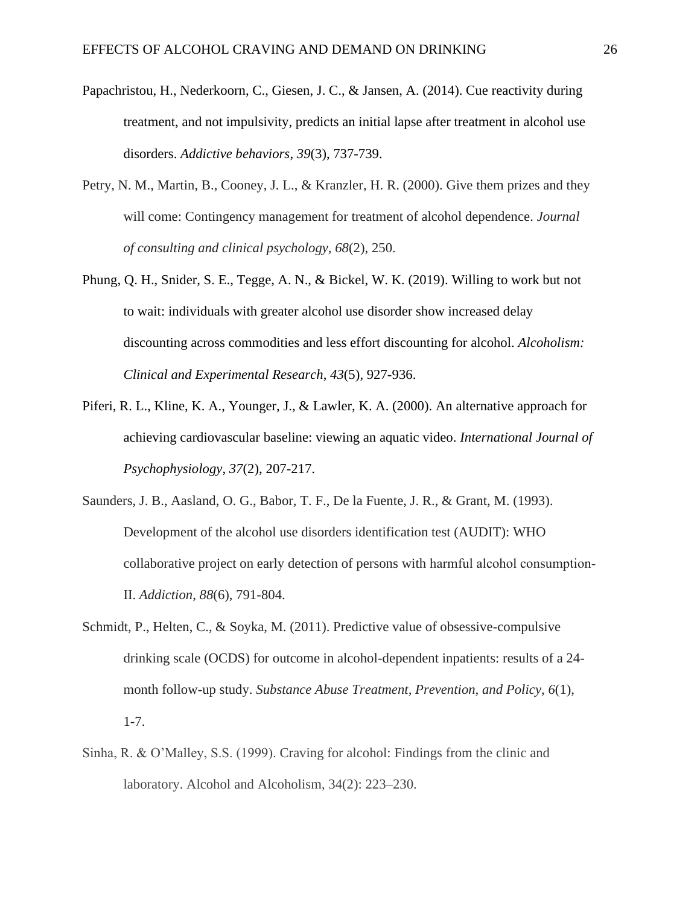- Papachristou, H., Nederkoorn, C., Giesen, J. C., & Jansen, A. (2014). Cue reactivity during treatment, and not impulsivity, predicts an initial lapse after treatment in alcohol use disorders. *Addictive behaviors*, *39*(3), 737-739.
- Petry, N. M., Martin, B., Cooney, J. L., & Kranzler, H. R. (2000). Give them prizes and they will come: Contingency management for treatment of alcohol dependence. *Journal of consulting and clinical psychology*, *68*(2), 250.
- Phung, Q. H., Snider, S. E., Tegge, A. N., & Bickel, W. K. (2019). Willing to work but not to wait: individuals with greater alcohol use disorder show increased delay discounting across commodities and less effort discounting for alcohol. *Alcoholism: Clinical and Experimental Research*, *43*(5), 927-936.
- Piferi, R. L., Kline, K. A., Younger, J., & Lawler, K. A. (2000). An alternative approach for achieving cardiovascular baseline: viewing an aquatic video. *International Journal of Psychophysiology*, *37*(2), 207-217.
- Saunders, J. B., Aasland, O. G., Babor, T. F., De la Fuente, J. R., & Grant, M. (1993). Development of the alcohol use disorders identification test (AUDIT): WHO collaborative project on early detection of persons with harmful alcohol consumption‐ II. *Addiction*, *88*(6), 791-804.
- Schmidt, P., Helten, C., & Soyka, M. (2011). Predictive value of obsessive-compulsive drinking scale (OCDS) for outcome in alcohol-dependent inpatients: results of a 24 month follow-up study. *Substance Abuse Treatment, Prevention, and Policy*, *6*(1), 1-7.
- Sinha, R. & O'Malley, S.S. (1999). Craving for alcohol: Findings from the clinic and laboratory. Alcohol and Alcoholism, 34(2): 223-230.